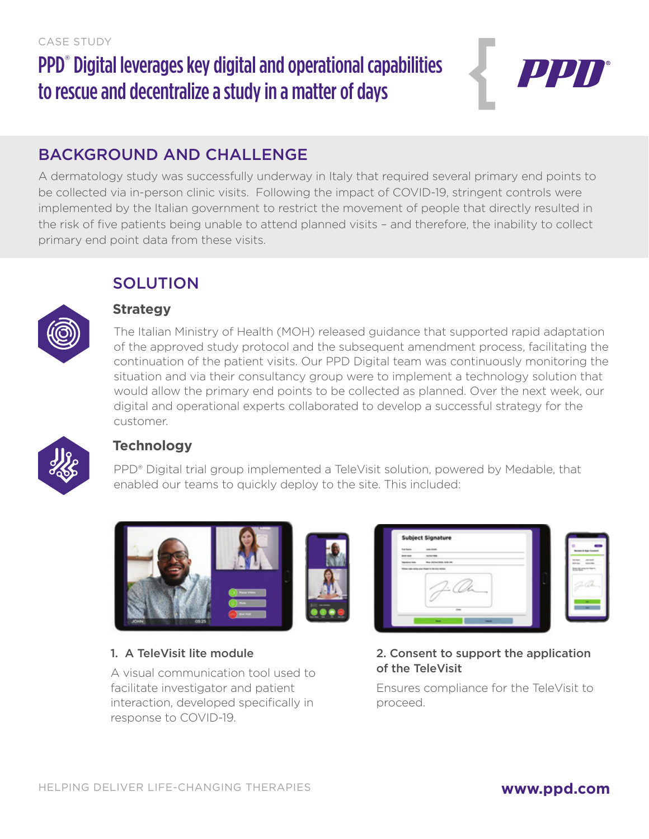# PPD<sup>®</sup> Digital leverages key digital and operational capabilities to rescue and decentralize a study in a matter of days



# BACKGROUND AND CHALLENGE

A dermatology study was successfully underway in Italy that required several primary end points to be collected via in-person clinic visits. Following the impact of COVID-19, stringent controls were implemented by the Italian government to restrict the movement of people that directly resulted in the risk of five patients being unable to attend planned visits – and therefore, the inability to collect primary end point data from these visits.



### **SOLUTION Strategy**

The Italian Ministry of Health (MOH) released guidance that supported rapid adaptation of the approved study protocol and the subsequent amendment process, facilitating the continuation of the patient visits. Our PPD Digital team was continuously monitoring the situation and via their consultancy group were to implement a technology solution that would allow the primary end points to be collected as planned. Over the next week, our digital and operational experts collaborated to develop a successful strategy for the customer.



### **Technology**

PPD® Digital trial group implemented a TeleVisit solution, powered by Medable, that enabled our teams to quickly deploy to the site. This included:



#### 1. A TeleVisit lite module

A visual communication tool used to facilitate investigator and patient interaction, developed specifically in response to COVID-19.

|                      | Subject Signature           |                                |
|----------------------|-----------------------------|--------------------------------|
| <b>Tub States</b>    | <b>COLORADO</b>             | <b>Roman &amp; High Street</b> |
| <b>Britisher</b>     | <b>Holland</b>              |                                |
| <b>Services</b> Sale | <b>Buy Hillmore Ball at</b> |                                |
|                      |                             |                                |
|                      |                             |                                |

#### 2. Consent to support the application of the TeleVisit

Ensures compliance for the TeleVisit to proceed.